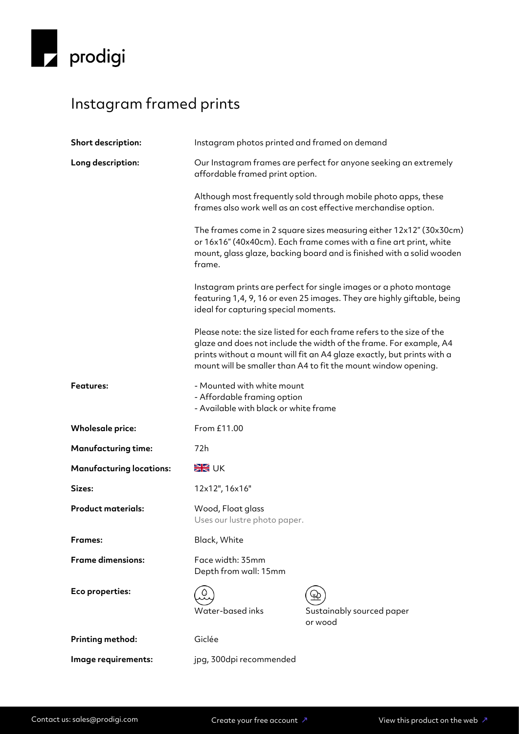

## Instagram framed prints

| Short description:              | Instagram photos printed and framed on demand                                                                                                                                                                                                                                                                                                                                                                                                                                   |                                            |
|---------------------------------|---------------------------------------------------------------------------------------------------------------------------------------------------------------------------------------------------------------------------------------------------------------------------------------------------------------------------------------------------------------------------------------------------------------------------------------------------------------------------------|--------------------------------------------|
| Long description:               | Our Instagram frames are perfect for anyone seeking an extremely<br>affordable framed print option.                                                                                                                                                                                                                                                                                                                                                                             |                                            |
|                                 | Although most frequently sold through mobile photo apps, these<br>frames also work well as an cost effective merchandise option.                                                                                                                                                                                                                                                                                                                                                |                                            |
|                                 | The frames come in 2 square sizes measuring either 12x12" (30x30cm)<br>or 16x16" (40x40cm). Each frame comes with a fine art print, white<br>mount, glass glaze, backing board and is finished with a solid wooden<br>frame.                                                                                                                                                                                                                                                    |                                            |
|                                 | Instagram prints are perfect for single images or a photo montage<br>featuring 1,4, 9, 16 or even 25 images. They are highly giftable, being<br>ideal for capturing special moments.<br>Please note: the size listed for each frame refers to the size of the<br>glaze and does not include the width of the frame. For example, A4<br>prints without a mount will fit an A4 glaze exactly, but prints with a<br>mount will be smaller than A4 to fit the mount window opening. |                                            |
|                                 |                                                                                                                                                                                                                                                                                                                                                                                                                                                                                 |                                            |
| <b>Features:</b>                | - Mounted with white mount<br>- Affordable framing option<br>- Available with black or white frame                                                                                                                                                                                                                                                                                                                                                                              |                                            |
| <b>Wholesale price:</b>         | From £11.00                                                                                                                                                                                                                                                                                                                                                                                                                                                                     |                                            |
| <b>Manufacturing time:</b>      | 72h                                                                                                                                                                                                                                                                                                                                                                                                                                                                             |                                            |
| <b>Manufacturing locations:</b> | <b>SK</b> UK                                                                                                                                                                                                                                                                                                                                                                                                                                                                    |                                            |
| Sizes:                          | 12x12", 16x16"                                                                                                                                                                                                                                                                                                                                                                                                                                                                  |                                            |
| <b>Product materials:</b>       | Wood, Float glass<br>Uses our lustre photo paper.                                                                                                                                                                                                                                                                                                                                                                                                                               |                                            |
| Frames:                         | Black, White                                                                                                                                                                                                                                                                                                                                                                                                                                                                    |                                            |
| <b>Frame dimensions:</b>        | Face width: 35mm<br>Depth from wall: 15mm                                                                                                                                                                                                                                                                                                                                                                                                                                       |                                            |
| Eco properties:                 | Water-based inks                                                                                                                                                                                                                                                                                                                                                                                                                                                                | ¥ζ<br>Sustainably sourced paper<br>or wood |
| Printing method:                | Giclée                                                                                                                                                                                                                                                                                                                                                                                                                                                                          |                                            |
| Image requirements:             | jpg, 300dpi recommended                                                                                                                                                                                                                                                                                                                                                                                                                                                         |                                            |